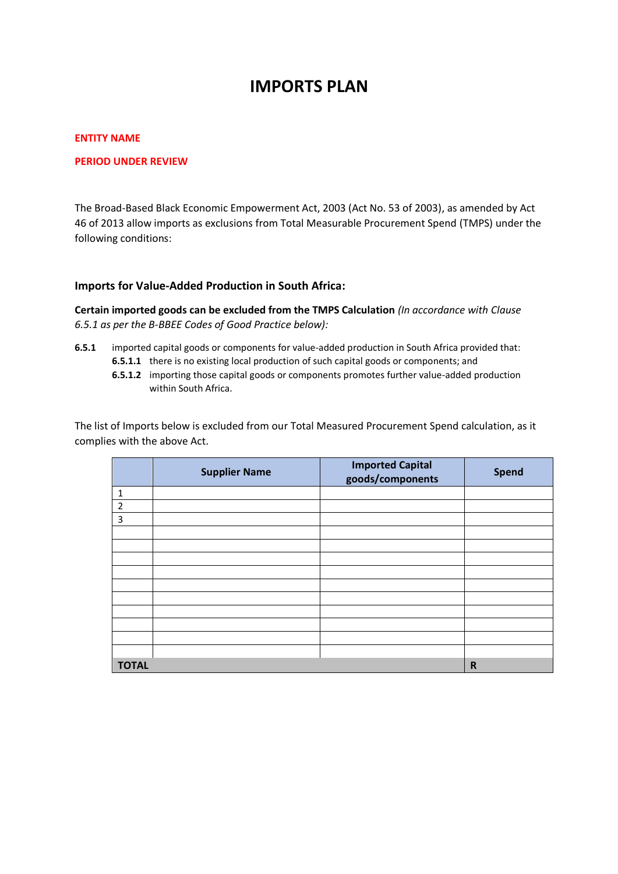# **IMPORTS PLAN**

## **ENTITY NAME**

## **PERIOD UNDER REVIEW**

The Broad-Based Black Economic Empowerment Act, 2003 (Act No. 53 of 2003), as amended by Act 46 of 2013 allow imports as exclusions from Total Measurable Procurement Spend (TMPS) under the following conditions:

## **Imports for Value-Added Production in South Africa:**

**Certain imported goods can be excluded from the TMPS Calculation** *(In accordance with Clause 6.5.1 as per the B-BBEE Codes of Good Practice below):*

- **6.5.1** imported capital goods or components for value-added production in South Africa provided that:
	- **6.5.1.1** there is no existing local production of such capital goods or components; and
	- **6.5.1.2** importing those capital goods or components promotes further value-added production within South Africa.

The list of Imports below is excluded from our Total Measured Procurement Spend calculation, as it complies with the above Act.

|              | <b>Supplier Name</b> | <b>Imported Capital</b><br>goods/components | <b>Spend</b> |
|--------------|----------------------|---------------------------------------------|--------------|
| $\mathbf 1$  |                      |                                             |              |
| $\mathbf 2$  |                      |                                             |              |
| 3            |                      |                                             |              |
|              |                      |                                             |              |
|              |                      |                                             |              |
|              |                      |                                             |              |
|              |                      |                                             |              |
|              |                      |                                             |              |
|              |                      |                                             |              |
|              |                      |                                             |              |
|              |                      |                                             |              |
|              |                      |                                             |              |
|              |                      |                                             |              |
| <b>TOTAL</b> |                      |                                             | $\mathsf R$  |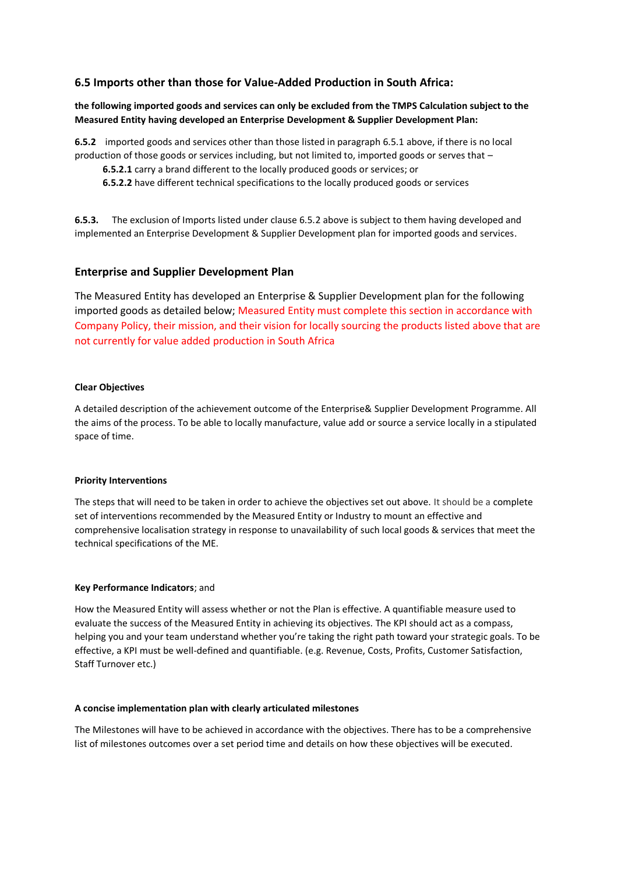# **6.5 Imports other than those for Value-Added Production in South Africa:**

**the following imported goods and services can only be excluded from the TMPS Calculation subject to the Measured Entity having developed an Enterprise Development & Supplier Development Plan:**

**6.5.2** imported goods and services other than those listed in paragraph 6.5.1 above, if there is no local production of those goods or services including, but not limited to, imported goods or serves that –

- **6.5.2.1** carry a brand different to the locally produced goods or services; or
- **6.5.2.2** have different technical specifications to the locally produced goods or services

**6.5.3.** The exclusion of Imports listed under clause 6.5.2 above is subject to them having developed and implemented an Enterprise Development & Supplier Development plan for imported goods and services.

# **Enterprise and Supplier Development Plan**

The Measured Entity has developed an Enterprise & Supplier Development plan for the following imported goods as detailed below; Measured Entity must complete this section in accordance with Company Policy, their mission, and their vision for locally sourcing the products listed above that are not currently for value added production in South Africa

#### **Clear Objectives**

A detailed description of the achievement outcome of the Enterprise& Supplier Development Programme. All the aims of the process. To be able to locally manufacture, value add or source a service locally in a stipulated space of time.

#### **Priority Interventions**

The steps that will need to be taken in order to achieve the objectives set out above. It should be a complete set of interventions recommended by the Measured Entity or Industry to mount an effective and comprehensive localisation strategy in response to unavailability of such local goods & services that meet the technical specifications of the ME.

### **Key Performance Indicators**; and

How the Measured Entity will assess whether or not the Plan is effective. A quantifiable measure used to evaluate the success of the Measured Entity in achieving its objectives. The KPI should act as a compass, helping you and your team understand whether you're taking the right path toward your strategic goals. To be effective, a KPI must be well-defined and quantifiable. (e.g. Revenue, Costs, Profits, Customer Satisfaction, Staff Turnover etc.)

#### **A concise implementation plan with clearly articulated milestones**

The Milestones will have to be achieved in accordance with the objectives. There has to be a comprehensive list of milestones outcomes over a set period time and details on how these objectives will be executed.